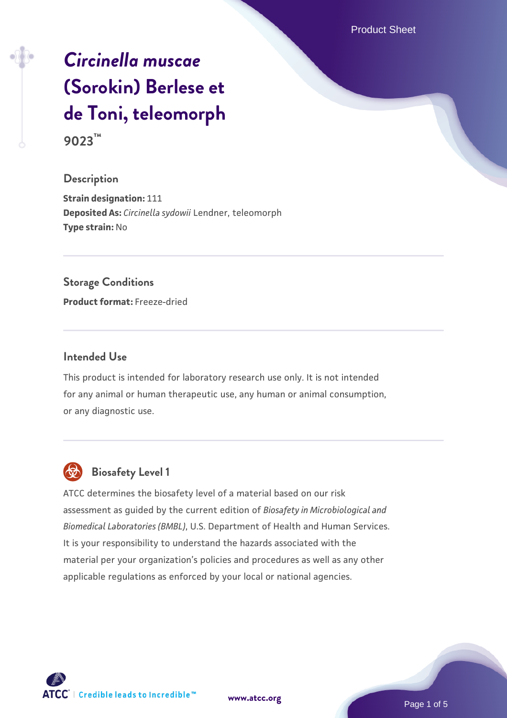Product Sheet

# *[Circinella muscae](https://www.atcc.org/products/9023)* **[\(Sorokin\) Berlese et](https://www.atcc.org/products/9023) [de Toni, teleomorph](https://www.atcc.org/products/9023)**

**9023™**

### **Description**

**Strain designation:** 111 **Deposited As:** *Circinella sydowii* Lendner, teleomorph **Type strain:** No

### **Storage Conditions**

**Product format:** Freeze-dried

### **Intended Use**

This product is intended for laboratory research use only. It is not intended for any animal or human therapeutic use, any human or animal consumption, or any diagnostic use.



### **Biosafety Level 1**

ATCC determines the biosafety level of a material based on our risk assessment as guided by the current edition of *Biosafety in Microbiological and Biomedical Laboratories (BMBL)*, U.S. Department of Health and Human Services. It is your responsibility to understand the hazards associated with the material per your organization's policies and procedures as well as any other applicable regulations as enforced by your local or national agencies.

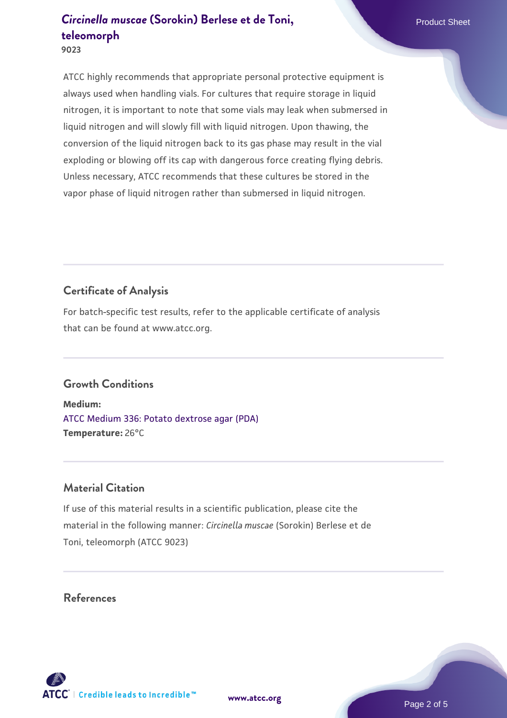**9023**

ATCC highly recommends that appropriate personal protective equipment is always used when handling vials. For cultures that require storage in liquid nitrogen, it is important to note that some vials may leak when submersed in liquid nitrogen and will slowly fill with liquid nitrogen. Upon thawing, the conversion of the liquid nitrogen back to its gas phase may result in the vial exploding or blowing off its cap with dangerous force creating flying debris. Unless necessary, ATCC recommends that these cultures be stored in the vapor phase of liquid nitrogen rather than submersed in liquid nitrogen.

### **Certificate of Analysis**

For batch-specific test results, refer to the applicable certificate of analysis that can be found at www.atcc.org.

### **Growth Conditions**

**Medium:**  [ATCC Medium 336: Potato dextrose agar \(PDA\)](https://www.atcc.org/-/media/product-assets/documents/microbial-media-formulations/3/3/6/atcc-medium-336.pdf?rev=d9160ad44d934cd8b65175461abbf3b9) **Temperature:** 26°C

### **Material Citation**

If use of this material results in a scientific publication, please cite the material in the following manner: *Circinella muscae* (Sorokin) Berlese et de Toni, teleomorph (ATCC 9023)

### **References**

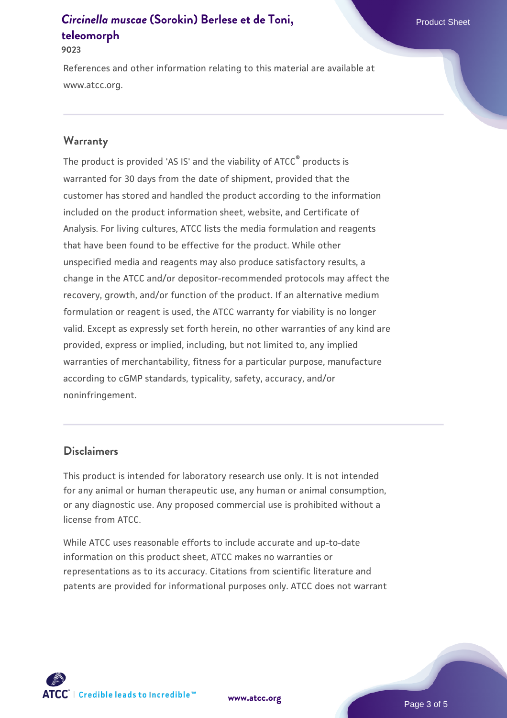#### **9023**

References and other information relating to this material are available at www.atcc.org.

#### **Warranty**

The product is provided 'AS IS' and the viability of ATCC<sup>®</sup> products is warranted for 30 days from the date of shipment, provided that the customer has stored and handled the product according to the information included on the product information sheet, website, and Certificate of Analysis. For living cultures, ATCC lists the media formulation and reagents that have been found to be effective for the product. While other unspecified media and reagents may also produce satisfactory results, a change in the ATCC and/or depositor-recommended protocols may affect the recovery, growth, and/or function of the product. If an alternative medium formulation or reagent is used, the ATCC warranty for viability is no longer valid. Except as expressly set forth herein, no other warranties of any kind are provided, express or implied, including, but not limited to, any implied warranties of merchantability, fitness for a particular purpose, manufacture according to cGMP standards, typicality, safety, accuracy, and/or noninfringement.

#### **Disclaimers**

This product is intended for laboratory research use only. It is not intended for any animal or human therapeutic use, any human or animal consumption, or any diagnostic use. Any proposed commercial use is prohibited without a license from ATCC.

While ATCC uses reasonable efforts to include accurate and up-to-date information on this product sheet, ATCC makes no warranties or representations as to its accuracy. Citations from scientific literature and patents are provided for informational purposes only. ATCC does not warrant

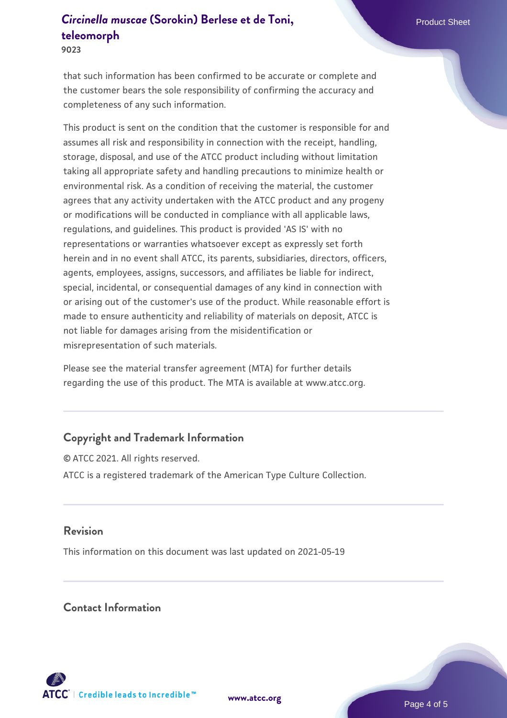**9023**

that such information has been confirmed to be accurate or complete and the customer bears the sole responsibility of confirming the accuracy and completeness of any such information.

This product is sent on the condition that the customer is responsible for and assumes all risk and responsibility in connection with the receipt, handling, storage, disposal, and use of the ATCC product including without limitation taking all appropriate safety and handling precautions to minimize health or environmental risk. As a condition of receiving the material, the customer agrees that any activity undertaken with the ATCC product and any progeny or modifications will be conducted in compliance with all applicable laws, regulations, and guidelines. This product is provided 'AS IS' with no representations or warranties whatsoever except as expressly set forth herein and in no event shall ATCC, its parents, subsidiaries, directors, officers, agents, employees, assigns, successors, and affiliates be liable for indirect, special, incidental, or consequential damages of any kind in connection with or arising out of the customer's use of the product. While reasonable effort is made to ensure authenticity and reliability of materials on deposit, ATCC is not liable for damages arising from the misidentification or misrepresentation of such materials.

Please see the material transfer agreement (MTA) for further details regarding the use of this product. The MTA is available at www.atcc.org.

### **Copyright and Trademark Information**

© ATCC 2021. All rights reserved. ATCC is a registered trademark of the American Type Culture Collection.

### **Revision**

This information on this document was last updated on 2021-05-19

### **Contact Information**



**[www.atcc.org](http://www.atcc.org)**